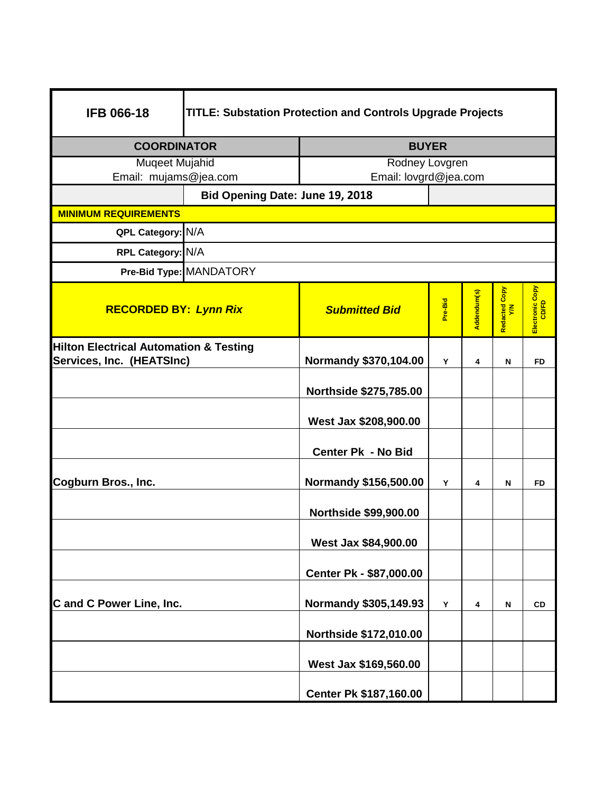| <b>IFB 066-18</b>                                                              | <b>TITLE: Substation Protection and Controls Upgrade Projects</b> |                              |         |             |                      |                          |  |
|--------------------------------------------------------------------------------|-------------------------------------------------------------------|------------------------------|---------|-------------|----------------------|--------------------------|--|
| <b>COORDINATOR</b>                                                             |                                                                   | <b>BUYER</b>                 |         |             |                      |                          |  |
| Muqeet Mujahid                                                                 |                                                                   | Rodney Lovgren               |         |             |                      |                          |  |
| Email: mujams@jea.com                                                          |                                                                   | Email: lovgrd@jea.com        |         |             |                      |                          |  |
|                                                                                | Bid Opening Date: June 19, 2018                                   |                              |         |             |                      |                          |  |
| <b>MINIMUM REQUIREMENTS</b>                                                    |                                                                   |                              |         |             |                      |                          |  |
| QPL Category: N/A                                                              |                                                                   |                              |         |             |                      |                          |  |
| RPL Category: N/A                                                              |                                                                   |                              |         |             |                      |                          |  |
|                                                                                | Pre-Bid Type: MANDATORY                                           |                              |         |             |                      |                          |  |
| <b>RECORDED BY: Lynn Rix</b>                                                   |                                                                   | <b>Submitted Bid</b>         | Pre-Bid | Addendum(s) | Redacted Copy<br>Y/N | Electronic Copy<br>CD/FD |  |
| <b>Hilton Electrical Automation &amp; Testing</b><br>Services, Inc. (HEATSInc) |                                                                   | Normandy \$370,104.00        | Υ       | 4           | Ν                    | <b>FD</b>                |  |
|                                                                                |                                                                   | Northside \$275,785.00       |         |             |                      |                          |  |
|                                                                                |                                                                   | West Jax \$208,900.00        |         |             |                      |                          |  |
|                                                                                |                                                                   | Center Pk - No Bid           |         |             |                      |                          |  |
| Cogburn Bros., Inc.                                                            |                                                                   | Normandy \$156,500.00        | Y       | 4           | N                    | FD                       |  |
|                                                                                |                                                                   | <b>Northside \$99,900.00</b> |         |             |                      |                          |  |
|                                                                                |                                                                   | West Jax \$84,900.00         |         |             |                      |                          |  |
|                                                                                |                                                                   | Center Pk - \$87,000.00      |         |             |                      |                          |  |
| C and C Power Line, Inc.                                                       |                                                                   | Normandy \$305,149.93        | Υ       | 4           | N                    | <b>CD</b>                |  |
|                                                                                |                                                                   | Northside \$172,010.00       |         |             |                      |                          |  |
|                                                                                |                                                                   | West Jax \$169,560.00        |         |             |                      |                          |  |
|                                                                                |                                                                   | Center Pk \$187,160.00       |         |             |                      |                          |  |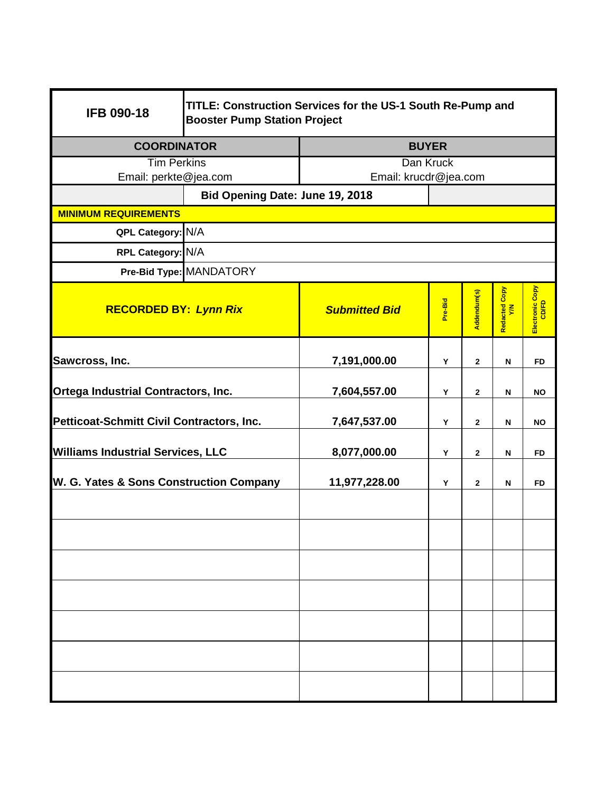| <b>IFB 090-18</b>                         | TITLE: Construction Services for the US-1 South Re-Pump and<br><b>Booster Pump Station Project</b> |                       |         |              |                           |                          |  |
|-------------------------------------------|----------------------------------------------------------------------------------------------------|-----------------------|---------|--------------|---------------------------|--------------------------|--|
| <b>COORDINATOR</b>                        |                                                                                                    | <b>BUYER</b>          |         |              |                           |                          |  |
| <b>Tim Perkins</b>                        |                                                                                                    | Dan Kruck             |         |              |                           |                          |  |
| Email: perkte@jea.com                     |                                                                                                    | Email: krucdr@jea.com |         |              |                           |                          |  |
|                                           | Bid Opening Date: June 19, 2018                                                                    |                       |         |              |                           |                          |  |
| <b>MINIMUM REQUIREMENTS</b>               |                                                                                                    |                       |         |              |                           |                          |  |
| QPL Category: N/A                         |                                                                                                    |                       |         |              |                           |                          |  |
|                                           | RPL Category: N/A                                                                                  |                       |         |              |                           |                          |  |
|                                           | Pre-Bid Type: MANDATORY                                                                            |                       |         |              |                           |                          |  |
| <b>RECORDED BY: Lynn Rix</b>              |                                                                                                    | <b>Submitted Bid</b>  | Pre-Bid | Addendum(s)  | Redacted Copy<br>Y/N      | Electronic Copy<br>CD/FD |  |
| Sawcross, Inc.                            |                                                                                                    | 7,191,000.00          | Y       | $\mathbf{2}$ | ${\sf N}$                 | <b>FD</b>                |  |
| Ortega Industrial Contractors, Inc.       |                                                                                                    | 7,604,557.00          | Y       | $\mathbf{2}$ | $\boldsymbol{\mathsf{N}}$ | <b>NO</b>                |  |
| Petticoat-Schmitt Civil Contractors, Inc. |                                                                                                    | 7,647,537.00          | Y       | $\mathbf{2}$ | N                         | <b>NO</b>                |  |
| <b>Williams Industrial Services, LLC</b>  |                                                                                                    | 8,077,000.00          | Y       | $\mathbf{2}$ | N                         | <b>FD</b>                |  |
| W. G. Yates & Sons Construction Company   |                                                                                                    | 11,977,228.00         | Υ       | $\mathbf{2}$ | ${\sf N}$                 | <b>FD</b>                |  |
|                                           |                                                                                                    |                       |         |              |                           |                          |  |
|                                           |                                                                                                    |                       |         |              |                           |                          |  |
|                                           |                                                                                                    |                       |         |              |                           |                          |  |
|                                           |                                                                                                    |                       |         |              |                           |                          |  |
|                                           |                                                                                                    |                       |         |              |                           |                          |  |
|                                           |                                                                                                    |                       |         |              |                           |                          |  |
|                                           |                                                                                                    |                       |         |              |                           |                          |  |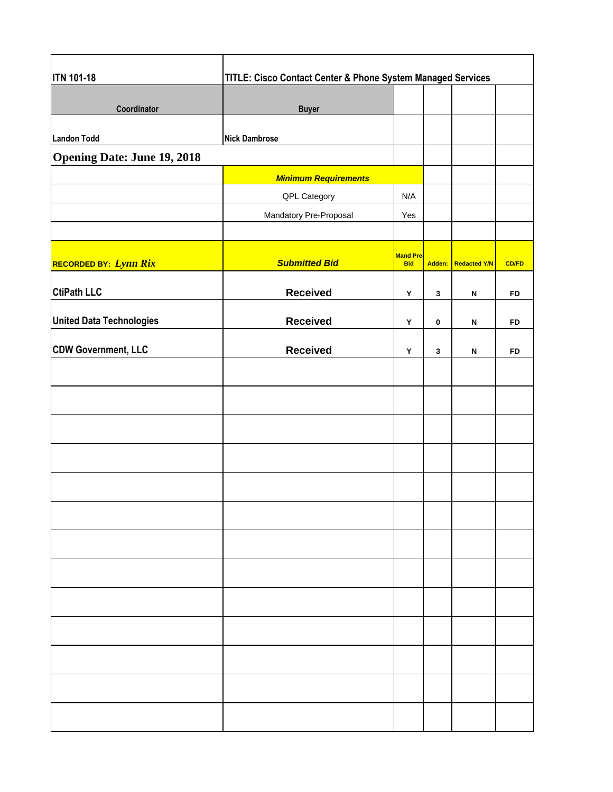| <b>ITN 101-18</b>                  | TITLE: Cisco Contact Center & Phone System Managed Services |                                |              |                     |              |  |
|------------------------------------|-------------------------------------------------------------|--------------------------------|--------------|---------------------|--------------|--|
| Coordinator                        | <b>Buyer</b>                                                |                                |              |                     |              |  |
| <b>Landon Todd</b>                 | <b>Nick Dambrose</b>                                        |                                |              |                     |              |  |
| <b>Opening Date: June 19, 2018</b> |                                                             |                                |              |                     |              |  |
|                                    | <b>Minimum Requirements</b>                                 |                                |              |                     |              |  |
|                                    | QPL Category                                                | N/A                            |              |                     |              |  |
|                                    | Mandatory Pre-Proposal                                      | Yes                            |              |                     |              |  |
| RECORDED BY: Lynn Rix              | <b>Submitted Bid</b>                                        | <b>Mand Pre-</b><br><b>Bid</b> |              | Adden: Redacted Y/N | <b>CD/FD</b> |  |
| <b>CtiPath LLC</b>                 | <b>Received</b>                                             | Y                              | $\mathbf{3}$ | N                   | <b>FD</b>    |  |
| <b>United Data Technologies</b>    | <b>Received</b>                                             | Y                              | 0            | N                   | <b>FD</b>    |  |
| <b>CDW Government, LLC</b>         | <b>Received</b>                                             | Y                              | $\mathbf{3}$ | N                   | <b>FD</b>    |  |
|                                    |                                                             |                                |              |                     |              |  |
|                                    |                                                             |                                |              |                     |              |  |
|                                    |                                                             |                                |              |                     |              |  |
|                                    |                                                             |                                |              |                     |              |  |
|                                    |                                                             |                                |              |                     |              |  |
|                                    |                                                             |                                |              |                     |              |  |
|                                    |                                                             |                                |              |                     |              |  |
|                                    |                                                             |                                |              |                     |              |  |
|                                    |                                                             |                                |              |                     |              |  |
|                                    |                                                             |                                |              |                     |              |  |
|                                    |                                                             |                                |              |                     |              |  |
|                                    |                                                             |                                |              |                     |              |  |
|                                    |                                                             |                                |              |                     |              |  |